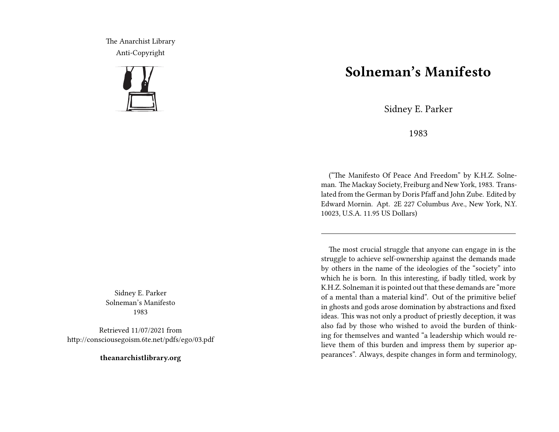The Anarchist Library Anti-Copyright



Sidney E. Parker Solneman's Manifesto 1983

Retrieved 11/07/2021 from http://consciousegoism.6te.net/pdfs/ego/03.pdf

**theanarchistlibrary.org**

## **Solneman's Manifesto**

Sidney E. Parker

1983

("The Manifesto Of Peace And Freedom" by K.H.Z. Solneman. The Mackay Society, Freiburg and New York, 1983. Translated from the German by Doris Pfaff and John Zube. Edited by Edward Mornin. Apt. 2E 227 Columbus Ave., New York, N.Y. 10023, U.S.A. 11.95 US Dollars)

The most crucial struggle that anyone can engage in is the struggle to achieve self-ownership against the demands made by others in the name of the ideologies of the "society" into which he is born. In this interesting, if badly titled, work by K.H.Z. Solneman it is pointed out that these demands are "more of a mental than a material kind". Out of the primitive belief in ghosts and gods arose domination by abstractions and fixed ideas. This was not only a product of priestly deception, it was also fad by those who wished to avoid the burden of thinking for themselves and wanted "a leadership which would relieve them of this burden and impress them by superior appearances". Always, despite changes in form and terminology,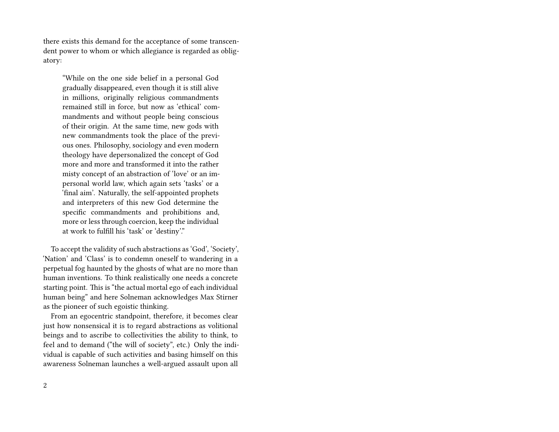there exists this demand for the acceptance of some transcendent power to whom or which allegiance is regarded as obligatory:

"While on the one side belief in a personal God gradually disappeared, even though it is still alive in millions, originally religious commandments remained still in force, but now as 'ethical' commandments and without people being conscious of their origin. At the same time, new gods with new commandments took the place of the previous ones. Philosophy, sociology and even modern theology have depersonalized the concept of God more and more and transformed it into the rather misty concept of an abstraction of 'love' or an impersonal world law, which again sets 'tasks' or a 'final aim'. Naturally, the self-appointed prophets and interpreters of this new God determine the specific commandments and prohibitions and, more or less through coercion, keep the individual at work to fulfill his 'task' or 'destiny'."

To accept the validity of such abstractions as 'God', 'Society', 'Nation' and 'Class' is to condemn oneself to wandering in a perpetual fog haunted by the ghosts of what are no more than human inventions. To think realistically one needs a concrete starting point. This is "the actual mortal ego of each individual human being" and here Solneman acknowledges Max Stirner as the pioneer of such egoistic thinking.

From an egocentric standpoint, therefore, it becomes clear just how nonsensical it is to regard abstractions as volitional beings and to ascribe to collectivities the ability to think, to feel and to demand ("the will of society", etc.) Only the individual is capable of such activities and basing himself on this awareness Solneman launches a well-argued assault upon all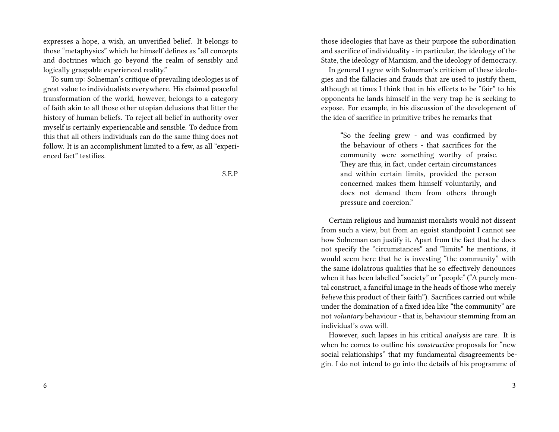expresses a hope, a wish, an unverified belief. It belongs to those "metaphysics" which he himself defines as "all concepts and doctrines which go beyond the realm of sensibly and logically graspable experienced reality."

To sum up: Solneman's critique of prevailing ideologies is of great value to individualists everywhere. His claimed peaceful transformation of the world, however, belongs to a category of faith akin to all those other utopian delusions that litter the history of human beliefs. To reject all belief in authority over myself is certainly experiencable and sensible. To deduce from this that all others individuals can do the same thing does not follow. It is an accomplishment limited to a few, as all "experienced fact" testifies.

S.E.P

those ideologies that have as their purpose the subordination and sacrifice of individuality - in particular, the ideology of the State, the ideology of Marxism, and the ideology of democracy.

In general I agree with Solneman's criticism of these ideologies and the fallacies and frauds that are used to justify them, although at times I think that in his efforts to be "fair" to his opponents he lands himself in the very trap he is seeking to expose. For example, in his discussion of the development of the idea of sacrifice in primitive tribes he remarks that

"So the feeling grew - and was confirmed by the behaviour of others - that sacrifices for the community were something worthy of praise. They are this, in fact, under certain circumstances and within certain limits, provided the person concerned makes them himself voluntarily, and does not demand them from others through pressure and coercion."

Certain religious and humanist moralists would not dissent from such a view, but from an egoist standpoint I cannot see how Solneman can justify it. Apart from the fact that he does not specify the "circumstances" and "limits" he mentions, it would seem here that he is investing "the community" with the same idolatrous qualities that he so effectively denounces when it has been labelled "society" or "people" ("A purely mental construct, a fanciful image in the heads of those who merely *believe* this product of their faith"). Sacrifices carried out while under the domination of a fixed idea like "the community" are not *voluntary* behaviour - that is, behaviour stemming from an individual's *own* will.

However, such lapses in his critical *analysis* are rare. It is when he comes to outline his *constructive* proposals for "new social relationships" that my fundamental disagreements begin. I do not intend to go into the details of his programme of